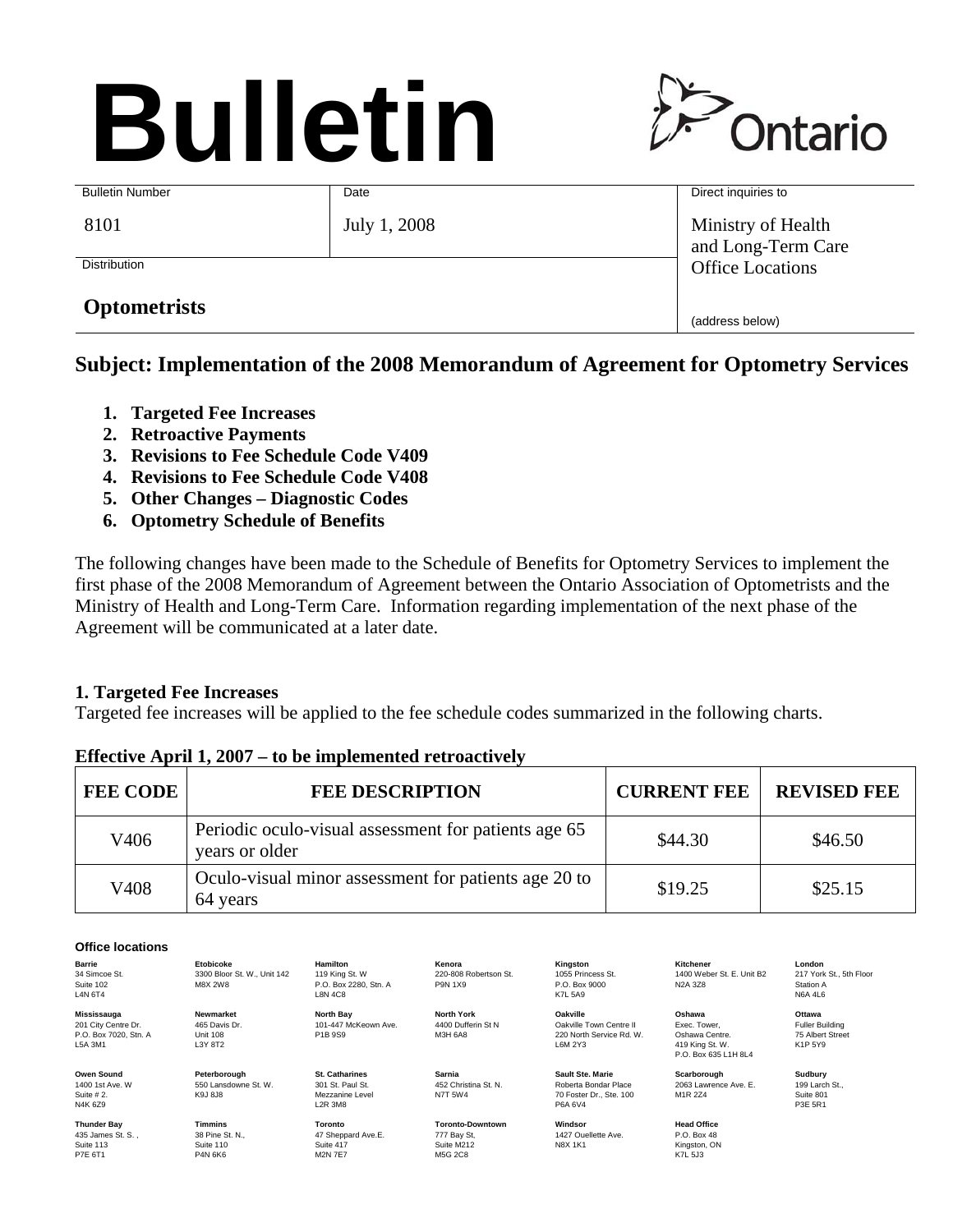# **Bulletin**



| <b>Bulletin Number</b> | Date         | Direct inquiries to                      |
|------------------------|--------------|------------------------------------------|
| 8101                   | July 1, 2008 | Ministry of Health<br>and Long-Term Care |
| <b>Distribution</b>    |              | <b>Office Locations</b>                  |
| <b>Optometrists</b>    |              | (address below)                          |

# **Subject: Implementation of the 2008 Memorandum of Agreement for Optometry Services**

- **1. Targeted Fee Increases**
- **2. Retroactive Payments**
- **3. Revisions to Fee Schedule Code V409**
- **4. Revisions to Fee Schedule Code V408**
- **5. Other Changes Diagnostic Codes**
- **6. Optometry Schedule of Benefits**

The following changes have been made to the Schedule of Benefits for Optometry Services to implement the first phase of the 2008 Memorandum of Agreement between the Ontario Association of Optometrists and the Ministry of Health and Long-Term Care. Information regarding implementation of the next phase of the Agreement will be communicated at a later date.

### **1. Targeted Fee Increases**

Targeted fee increases will be applied to the fee schedule codes summarized in the following charts.

| <b>FEE CODE</b> | <b>FEE DESCRIPTION</b>                                                 | <b>CURRENT FEE</b> | <b>REVISED FEE</b> |
|-----------------|------------------------------------------------------------------------|--------------------|--------------------|
| V406            | Periodic oculo-visual assessment for patients age 65<br>years or older | \$44.30            | \$46.50            |
| V408            | Oculo-visual minor assessment for patients age 20 to<br>64 years       | \$19.25            | \$25.15            |

#### **Effective April 1, 2007 – to be implemented retroactively**

#### **Office locations**

**Barrie** 34 Simcoe St. Suite 102 L4N 6T4

**Mississauga** 201 City Centre Dr. P.O. Box 7020, Stn. A L5A 3M1

**Owen Sound** 1400 1st Ave. W Suite # 2. N4K 6Z9

**Thunder Bay** 435 James St. S. , Suite 113 P7E 6T1

3300 Bloor St. W., Unit 142 M8X 2W8

**Etobicoke**

**Newmarket** 465 Davis Dr. Unit 108 L3Y 8T2

**Peterborough** 550 Lansdowne St. W. K9J 8J8

**Timmins** 38 Pine St. N., Suite 110 P4N 6K6

119 King St. W P.O. Box 2280, Stn. A L8N 4C8 **North Bay** 101-447 McKeown Ave. P1B 9S9

**Hamilton**

**St. Catharines** 301 St. Paul St. Mezzanine Level L2R 3M8

**Toronto** 47 Sheppard Ave.E. Suite 417 M2N 7E7

M3H 6A8

**Sarnia** 452 Christina St. N. N7T 5W4

**Kenora** 220-808 Robertson St. P9N 1X9

**North York** 4400 Dufferin St N

**Toronto-Downtown**  777 Bay St, Suite M212 M<sub>5G</sub> 2C<sub>8</sub>

**Kingston** 1055 Princess St.  $P \cap Rov 9000$ K7L 5A9

**Oakville** Oakville Town Centre II 220 North Service Rd. W. L6M 2Y3

**Sault Ste. Marie** Roberta Bondar Place 70 Foster Dr., Ste. 100 P6A 6V4

**Windsor** 1427 Ouellette Ave. N8X 1K1

**Kitchener** 1400 Weber St. E. Unit B2 N2A 3Z8

**Oshawa** Exec. Tower,<br>Oshawa Centre. 419 King St. W. P.O. Box 635 L1H 8L4

**Scarborough** 2063 Lawrence Ave. E. M1R 2Z4

**Head Office** P.O. Box 48 Kingston, ON K7L 5J3 **London** 217 York St., 5th Floor Station A N6A 4L6

**Ottawa** Fuller Building 75 Albert Street K1P 5Y9

**Sudbury** 199 Larch St., Suite 801 P3E 5R1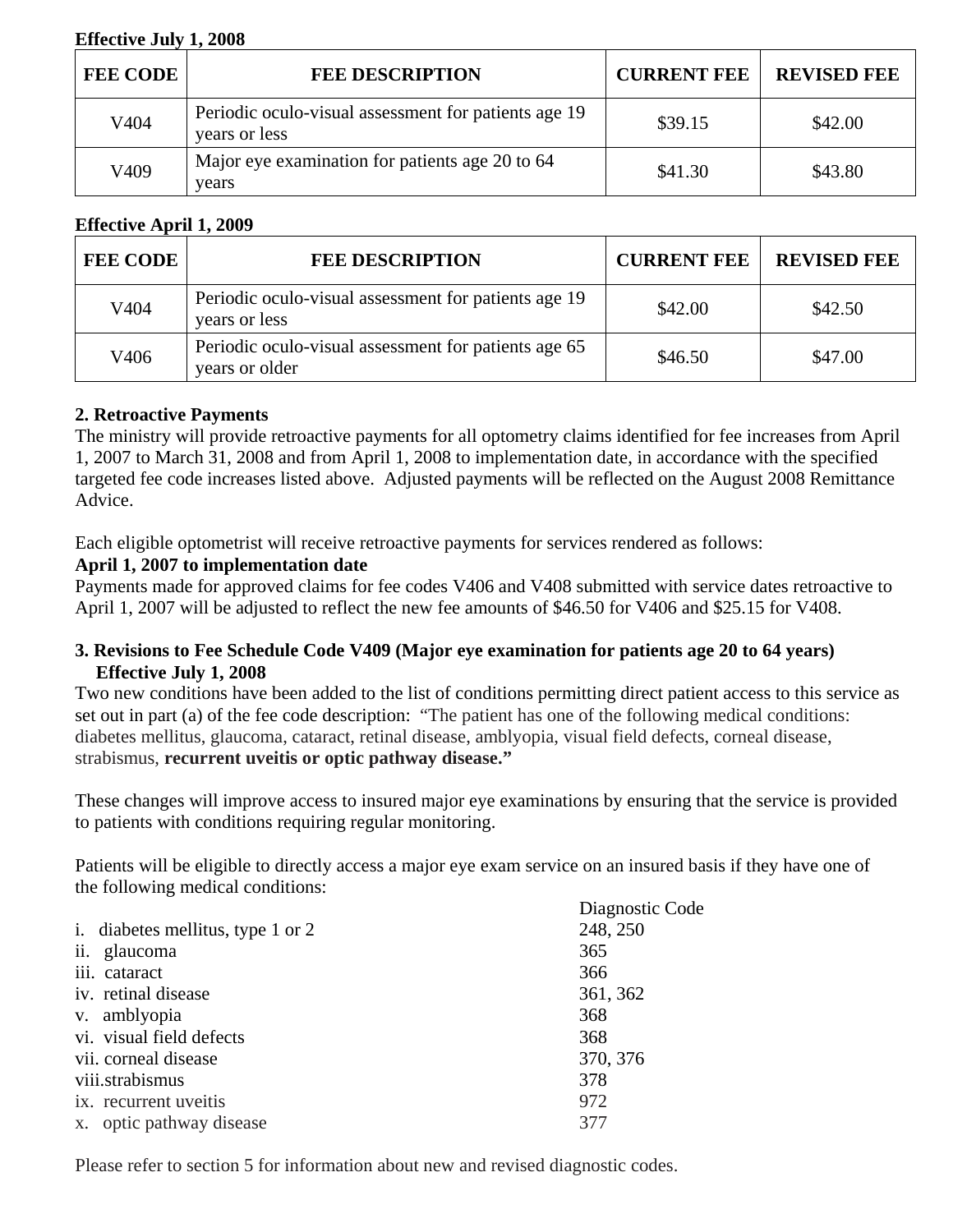#### **Effective July 1, 2008**

| <b>FEE CODE</b> | <b>FEE DESCRIPTION</b>                                                | <b>CURRENT FEE</b> | <b>REVISED FEE</b> |
|-----------------|-----------------------------------------------------------------------|--------------------|--------------------|
| V404            | Periodic oculo-visual assessment for patients age 19<br>years or less | \$39.15            | \$42.00            |
| V409            | Major eye examination for patients age 20 to 64<br>years              | \$41.30            | \$43.80            |

#### **Effective April 1, 2009**

| <b>FEE CODE</b> | <b>FEE DESCRIPTION</b>                                                 | <b>CURRENT FEE</b> | <b>REVISED FEE</b> |
|-----------------|------------------------------------------------------------------------|--------------------|--------------------|
| V404            | Periodic oculo-visual assessment for patients age 19<br>years or less  | \$42.00            | \$42.50            |
| V406            | Periodic oculo-visual assessment for patients age 65<br>years or older | \$46.50            | \$47.00            |

#### **2. Retroactive Payments**

The ministry will provide retroactive payments for all optometry claims identified for fee increases from April 1, 2007 to March 31, 2008 and from April 1, 2008 to implementation date, in accordance with the specified targeted fee code increases listed above. Adjusted payments will be reflected on the August 2008 Remittance Advice.

Each eligible optometrist will receive retroactive payments for services rendered as follows:

#### **April 1, 2007 to implementation date**

Payments made for approved claims for fee codes V406 and V408 submitted with service dates retroactive to April 1, 2007 will be adjusted to reflect the new fee amounts of \$46.50 for V406 and \$25.15 for V408.

#### **3. Revisions to Fee Schedule Code V409 (Major eye examination for patients age 20 to 64 years) Effective July 1, 2008**

Two new conditions have been added to the list of conditions permitting direct patient access to this service as set out in part (a) of the fee code description: "The patient has one of the following medical conditions: diabetes mellitus, glaucoma, cataract, retinal disease, amblyopia, visual field defects, corneal disease, strabismus, **recurrent uveitis or optic pathway disease."** 

These changes will improve access to insured major eye examinations by ensuring that the service is provided to patients with conditions requiring regular monitoring.

Patients will be eligible to directly access a major eye exam service on an insured basis if they have one of the following medical conditions:

| the rollo will include conditions. |                 |
|------------------------------------|-----------------|
|                                    | Diagnostic Code |
| i. diabetes mellitus, type 1 or 2  | 248, 250        |
| ii. glaucoma                       | 365             |
| iii. cataract                      | 366             |
| iv. retinal disease                | 361, 362        |
| v. amblyopia                       | 368             |
| vi. visual field defects           | 368             |
| vii. corneal disease               | 370, 376        |
| viii.strabismus                    | 378             |
| ix. recurrent uveitis              | 972             |
| x. optic pathway disease           | 377             |

Please refer to section 5 for information about new and revised diagnostic codes.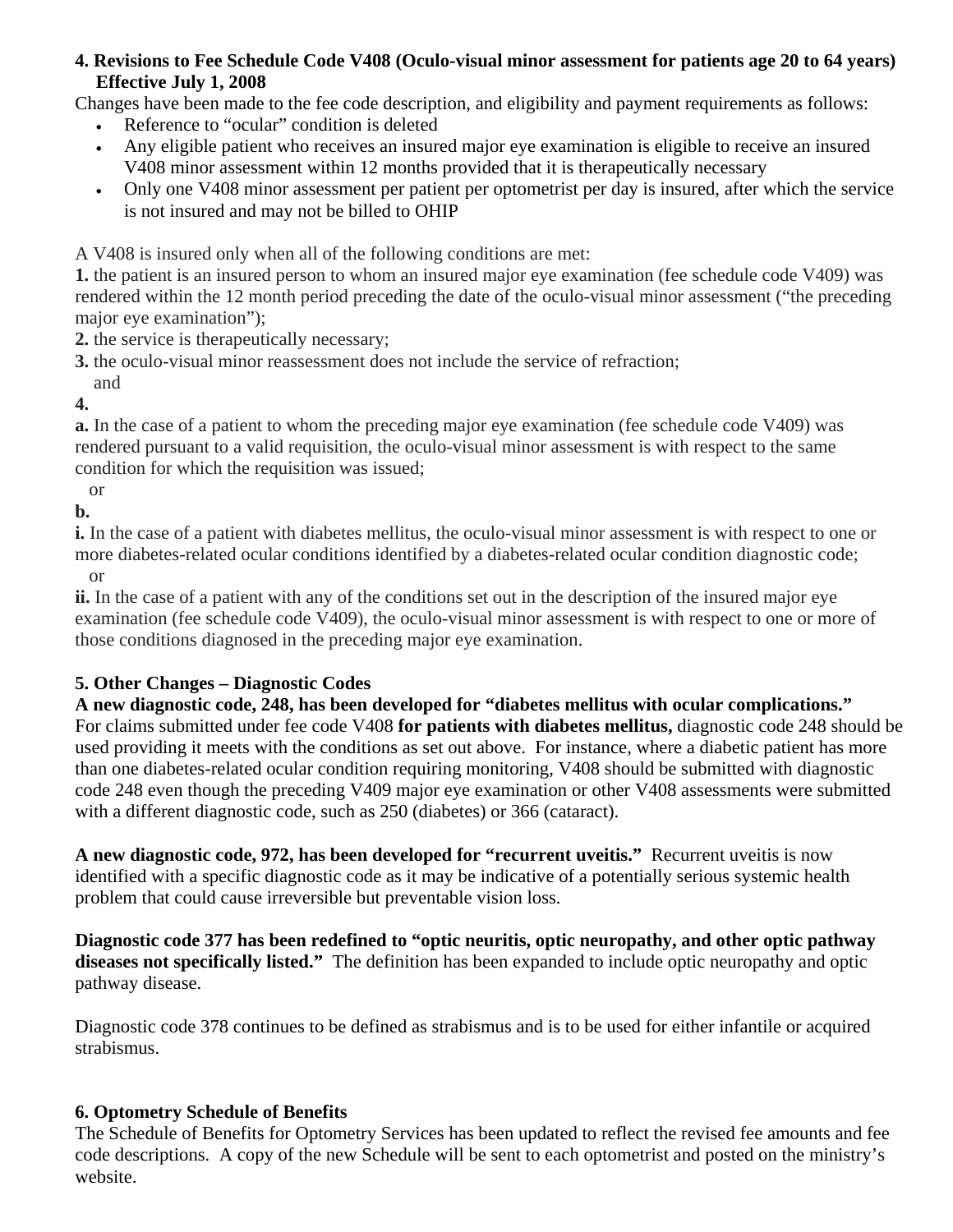### **4. Revisions to Fee Schedule Code V408 (Oculo-visual minor assessment for patients age 20 to 64 years) Effective July 1, 2008**

Changes have been made to the fee code description, and eligibility and payment requirements as follows:

- Reference to "ocular" condition is deleted
- Any eligible patient who receives an insured major eye examination is eligible to receive an insured V408 minor assessment within 12 months provided that it is therapeutically necessary
- Only one V408 minor assessment per patient per optometrist per day is insured, after which the service is not insured and may not be billed to OHIP

A V408 is insured only when all of the following conditions are met:

**1.** the patient is an insured person to whom an insured major eye examination (fee schedule code V409) was rendered within the 12 month period preceding the date of the oculo-visual minor assessment ("the preceding major eye examination");

**2.** the service is therapeutically necessary;

**3.** the oculo-visual minor reassessment does not include the service of refraction;

 and **4.** 

**a.** In the case of a patient to whom the preceding major eye examination (fee schedule code V409) was rendered pursuant to a valid requisition, the oculo-visual minor assessment is with respect to the same condition for which the requisition was issued;

or

**b.** 

**i.** In the case of a patient with diabetes mellitus, the oculo-visual minor assessment is with respect to one or more diabetes-related ocular conditions identified by a diabetes-related ocular condition diagnostic code;

or

**ii.** In the case of a patient with any of the conditions set out in the description of the insured major eye examination (fee schedule code V409), the oculo-visual minor assessment is with respect to one or more of those conditions diagnosed in the preceding major eye examination.

# **5. Other Changes – Diagnostic Codes**

**A new diagnostic code, 248, has been developed for "diabetes mellitus with ocular complications."** For claims submitted under fee code V408 **for patients with diabetes mellitus,** diagnostic code 248 should be used providing it meets with the conditions as set out above. For instance, where a diabetic patient has more than one diabetes-related ocular condition requiring monitoring, V408 should be submitted with diagnostic code 248 even though the preceding V409 major eye examination or other V408 assessments were submitted with a different diagnostic code, such as 250 (diabetes) or 366 (cataract).

**A new diagnostic code, 972, has been developed for "recurrent uveitis."** Recurrent uveitis is now identified with a specific diagnostic code as it may be indicative of a potentially serious systemic health problem that could cause irreversible but preventable vision loss.

**Diagnostic code 377 has been redefined to "optic neuritis, optic neuropathy, and other optic pathway diseases not specifically listed."** The definition has been expanded to include optic neuropathy and optic pathway disease.

Diagnostic code 378 continues to be defined as strabismus and is to be used for either infantile or acquired strabismus.

# **6. Optometry Schedule of Benefits**

The Schedule of Benefits for Optometry Services has been updated to reflect the revised fee amounts and fee code descriptions. A copy of the new Schedule will be sent to each optometrist and posted on the ministry's website.